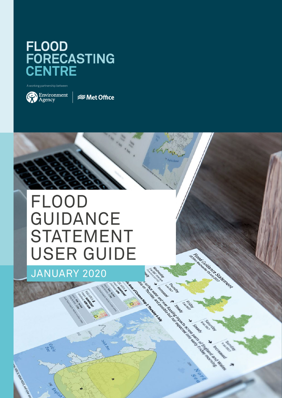## FLOOD<br>FORECASTING<br>CENTRE

A working partnership between



*<del></del>* Met Office

## FLOOD GUIDANCE STATEMENT USER GUIDE

Friday Avenue District

Joseph

A March 2019 A March 2019 A March 2019 A March 2019 A March 2019 A March 2019 A March 2019 A March 2019 A March 2019 A March 2019 A March 2019 A March 2019 A March 2019 A March 2019 A March 2019 A March 2019 A March 2019 A

A REAGAN AND REAGAN REAGAN AND REAGAN REAGAN AND REAGAN REAGAN REAGAN REAGAN REAGAN REAGAN REAGAN REAGAN REAGAN REAGAN REAGAN REAGAN REAGAN REAGAN REAGAN REAGAN REAGAN REAGAN REAGAN REAGAN REAGAN REAGAN REAGAN REAGAN REAGA

Active Residence of Bridge

**CONSTRUCTION** o la don

JANUARY 2020

me celoo van Arion Room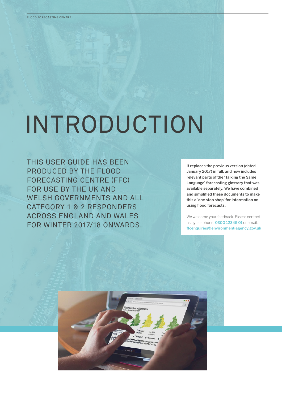## INTRODUCTION

THIS USER GUIDE HAS BEEN PRODUCED BY THE FLOOD FORECASTING CENTRE (FFC) FOR USE BY THE UK AND WELSH GOVERNMENTS AND ALL CATEGORY 1 & 2 RESPONDERS ACROSS ENGLAND AND WALES FOR WINTER 2017/18 ONWARDS.

It replaces the previous version (dated January 2017) in full, and now includes relevant parts of the 'Talking the Same Language' forecasting glossary that was available separately. We have combined and simplified these documents to make this a 'one stop shop' for information on using flood forecasts.

We welcome your feedback. Please contact us by telephone: 0300 12345 01 or email: [ffcenquiries@environment-agency.gov.uk](mailto:ffcenquiries@environment-agency.gov.uk)

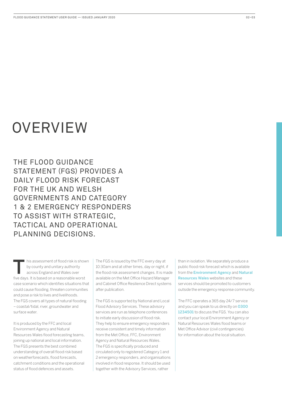## **OVERVIEW**

THE FLOOD GUIDANCE STATEMENT (FGS) PROVIDES A DAILY FLOOD RISK FORECAST FOR THE UK AND WELSH GOVERNMENTS AND CATEGORY 1 & 2 EMERGENCY RESPONDERS TO ASSIST WITH STRATEGIC, TACTICAL AND OPERATIONAL PLANNING DECISIONS.

his assessment of flood risk is shown by county and unitary authority across England and Wales over five days. It is based on a reasonable worst case scenario which identifies situations that could cause flooding, threaten communities and pose a risk to lives and livelihoods. The FGS covers all types of natural flooding – coastal/tidal, river, groundwater and surface water.

It is produced by the FFC and local Environment Agency and Natural Resources Wales flood forecasting teams, joining up national and local information. The FGS presents the best combined understanding of overall flood risk based on weatherforecasts, flood forecasts, catchment conditions and the operational status of flood defences and assets.

The FGS is issued by the FFC every day at 10:30am and at other times, day or night, if the flood risk assessment changes. It is made available on the Met Office Hazard Manager and Cabinet Office Resilience Direct systems after publication.

The FGS is supported by National and Local Flood Advisory Services. These advisory services are run as telephone conferences to initiate early discussion of flood risk. They help to ensure emergency responders receive consistent and timely information from the Met Office, FFC, Environment Agency and Natural Resources Wales. The FGS is specifically produced and circulated only to registered Category 1 and 2 emergency responders, and organisations involved in flood response. It should be used together with the Advisory Services, rather

than in isolation. We separately produce a public flood risk forecast which is available from the [Environment Agency](https://flood-warning-information.service.gov.uk/5-day-flood-risk) and [Natural](https://naturalresources.wales/flooding/5-day-flood-forecast/?lang=en)  [Resources Wales](https://naturalresources.wales/flooding/5-day-flood-forecast/?lang=en) websites and these services should be promoted to customers outside the emergency response community.

The FFC operates a 365 day 24/7 service and you can speak to us directly on 0300 1234501 to discuss the FGS. You can also contact your local Environment Agency or Natural Resources Wales flood teams or Met Office Advisor (civil contingencies) for information about the local situation.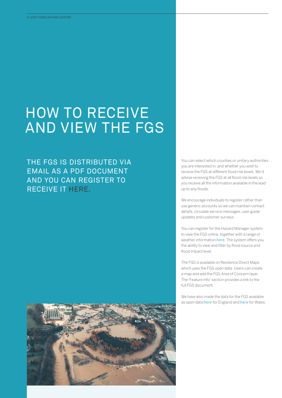## HOW TO RECEIVE AND VIEW THE FGS

THE FGS IS DISTRIBUTED VIA EMAIL AS A PDF DOCUMENT AND YOU CAN REGISTER TO RECEIVE IT [HERE.](https://www.ffc-environment-agency.fgs.metoffice.gov.uk/services/customers/new)

You can select which counties or unitary authorities you are interested in, and whether you wish to receive the FGS at different flood risk levels. We'd advise receiving the FGS at all flood risk levels so you receive all the information available in the lead up to any floods.

We encourage individuals to register rather than use generic accounts so we can maintain contact details, circulate service messages, user guide updates and customer surveys.

You can register for the Hazard Manager system to view the FGS online, together with a range of weather information [here](https://register.metoffice.gov.uk/register/hazardmanager/government.html?service=hazardmanager). The system offers you the ability to view and filter by flood source and flood impact level.

The FGS is available on Resilience Direct Maps which uses the FGS open data. Users can create a map and add the FGS Area of Concern layer. The 'Feature Info' section provides a link to the full FGS document.

We have also made the data for the FGS available as open data [here](https://api-portal.naturalresources.wales/) for England and here for Wales.

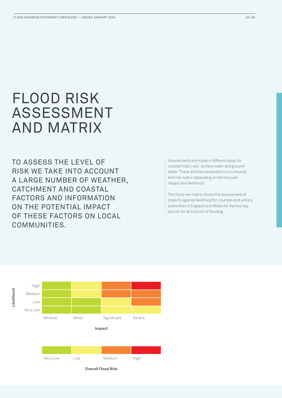## FLOOD RISK ASSESSMENT AND MATRIX

TO ASSESS THE LEVEL OF RISK WE TAKE INTO ACCOUNT A LARGE NUMBER OF WEATHER, CATCHMENT AND COASTAL FACTORS AND INFORMATION ON THE POTENTIAL IMPACT OF THESE FACTORS ON LOCAL COMMUNITIES.

Assessments are made in different ways for coastal/tidal, river, surface water and groundwater. These are then presented on a coloured, 4x4 risk matrix depending on the forecast impact and likelihood.

The flood risk matrix shows the assessment of impacts against likelihood for counties and unitary authorities in England and Wales for the five day period, for all sources of flooding.

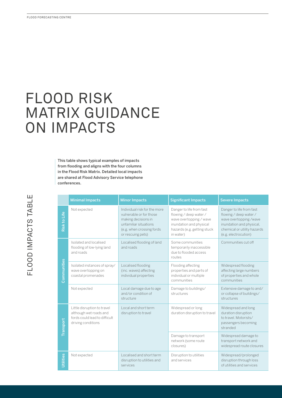# FLOOD RISK MATRIX GUIDANCE ON IMPACTS FLOOD FORECASTING CENTRE<br>
MATRI<br>
Mither From flo<br>
This tal<br>
from flo<br>
are sha<br>
confere<br>
confere<br>
confere<br>
CONDIC DISTUS LES<br>
This tal<br>
from flo<br>
centre<br>
confere<br>
are sha<br>
confere<br>
are sha

This table shows typical examples of impacts from flooding and aligns with the four columns in the Flood Risk Matrix. Detailed local impacts are shared at Flood Advisory Service telephone conferences.

|                  | <b>Minimal Impacts</b>                                                                                       | <b>Minor Impacts</b>                                                                                                                                       | <b>Significant Impacts</b>                                                                                                                           | <b>Severe Impacts</b>                                                                                                                                           |
|------------------|--------------------------------------------------------------------------------------------------------------|------------------------------------------------------------------------------------------------------------------------------------------------------------|------------------------------------------------------------------------------------------------------------------------------------------------------|-----------------------------------------------------------------------------------------------------------------------------------------------------------------|
| Risk to Life     | Not expected                                                                                                 | Individual risk for the more<br>vulnerable or for those<br>making decisions in<br>unfamiliar situations<br>(e.g. when crossing fords)<br>or rescuing pets) | Danger to life from fast<br>flowing / deep water /<br>wave overtopping / wave<br>inundation and physical<br>hazards (e.g. getting stuck<br>in water) | Danger to life from fast<br>flowing / deep water /<br>wave overtopping /wave<br>inundation and physical,<br>chemical or utility hazards<br>(e.g. electrocution) |
| Communities      | Isolated and localised<br>flooding of low-lying land<br>and roads                                            | Localised flooding of land<br>and roads                                                                                                                    | Some communities<br>temporarily inaccessible<br>due to flooded access<br>routes                                                                      | Communities cut off                                                                                                                                             |
|                  | Isolated instances of spray/<br>wave overtopping on<br>coastal promenades                                    | Localised flooding<br>(inc. waves) affecting<br>individual properties                                                                                      | Flooding affecting<br>properties and parts of<br>individual or multiple<br>communities                                                               | Widespread flooding<br>affecting large numbers<br>of properties and whole<br>communities                                                                        |
|                  | Not expected                                                                                                 | Local damage due to age<br>and/or condition of<br>structure                                                                                                | Damage to buildings/<br>structures                                                                                                                   | Extensive damage to and/<br>or collapse of buildings/<br>structures                                                                                             |
| Transport        | Little disruption to travel<br>although wet roads and<br>fords could lead to difficult<br>driving conditions | Local and short term<br>disruption to travel                                                                                                               | Widespread or long<br>duration disruption to travel                                                                                                  | Widespread and long<br>duration disruption<br>to travel. Motorists/<br>passengers becoming<br>stranded                                                          |
|                  |                                                                                                              |                                                                                                                                                            | Damage to transport<br>network (some route<br>closures)                                                                                              | Widespread damage to<br>transport network and<br>widespread route closures                                                                                      |
| <b>Utilities</b> | Not expected                                                                                                 | Localised and short term<br>disruption to utilities and<br>services                                                                                        | Disruption to utilities<br>and services                                                                                                              | Widespread/prolonged<br>disruption through loss<br>of utilities and services                                                                                    |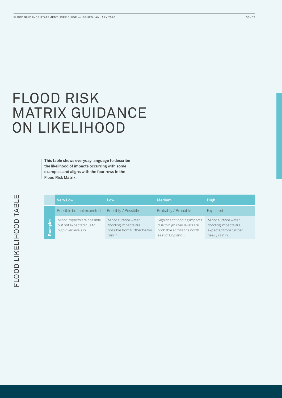## FLOOD RISK MATRIX GUIDANCE ON LIKELIHOOD

This table shows everyday language to describe the likelihood of impacts occurring with some examples and aligns with the four rows in the Flood Risk Matrix.

|                                         | <b>Very Low</b>                                                               | Low                                                                                   | <b>Medium</b>                                                                                                | <b>High</b>                                                                           |
|-----------------------------------------|-------------------------------------------------------------------------------|---------------------------------------------------------------------------------------|--------------------------------------------------------------------------------------------------------------|---------------------------------------------------------------------------------------|
|                                         | Possible but not expected                                                     | Possibly / Possible                                                                   | Probably / Probable                                                                                          | Expected                                                                              |
| ဖိ<br>$\frac{1}{\overline{2}}$<br>l ब्र | Minor impacts are possible<br>but not expected due to<br>high river levels in | Minor surface water<br>flooding impacts are<br>possible from further heavy<br>rain in | Significant flooding impacts<br>due to high river levels are<br>probable across the north<br>east of England | Minor surface water<br>flooding impacts are<br>expected from further<br>heavy rain in |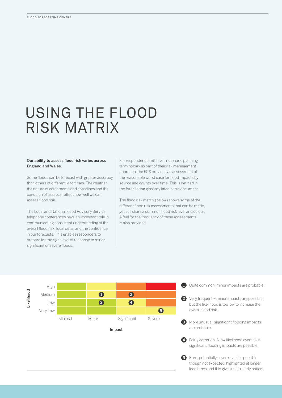## USING THE FLOOD RISK MATRIX

#### Our ability to assess flood risk varies across England and Wales.

Some floods can be forecast with greater accuracy than others at different lead times. The weather, the nature of catchments and coastlines and the condition of assets all affect how well we can assess flood risk.

The Local and National Flood Advisory Service telephone conferences have an important role in communicating consistent understanding of the overall flood risk, local detail and the confidence in our forecasts. This enables responders to prepare for the right level of response to minor, significant or severe floods.

For responders familiar with scenario planning terminology as part of their risk management approach, the FGS provides an assessment of the reasonable worst case for flood impacts by source and county over time. This is defined in the forecasting glossary later in this document.

The flood risk matrix (below) shows some of the different flood risk assessments that can be made, yet still share a common flood risk level and colour. A feel for the frequency of these assessments is also provided.



Impact

1 Quite common, minor impacts are probable.

2 Very frequent – minor impacts are possible, but the likelihood is too low to increase the overall flood risk.

**3** More unusual, significant flooding impacts are probable.

4) Fairly common. A low likelihood event, but significant flooding impacts are possible.

**5** Rare; potentially severe event is possible though not expected, highlighted at longer lead times and this gives useful early notice.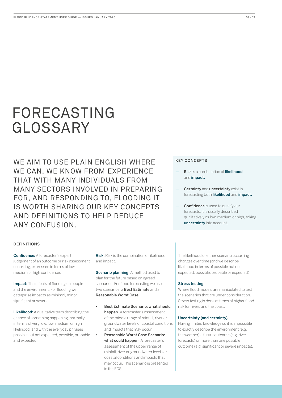## FORECASTING GLOSSARY

WE AIM TO USE PLAIN ENGLISH WHERE WE CAN. WE KNOW FROM EXPERIENCE THAT WITH MANY INDIVIDUALS FROM MANY SECTORS INVOLVED IN PREPARING FOR, AND RESPONDING TO, FLOODING IT IS WORTH SHARING OUR KEY CONCEPTS AND DEFINITIONS TO HELP REDUCE ANY CONFUSION.

#### KEY CONCEPTS

- **Risk** is a combination of likelihood and *impact*.
- Certainty and uncertainty exist in forecasting both likelihood and impact.
- Confidence is used to qualify our forecasts; it is usually described qualitatively as low, medium or high, taking uncertainty into account.

#### DEFINITIONS

Confidence: A forecaster's expert judgement of an outcome or risk assessment occurring, expressed in terms of low, medium or high confidence.

Impact: The effects of flooding on people and the environment. For flooding we categorise impacts as minimal, minor, significant or severe.

Likelihood: A qualitative term describing the chance of something happening, normally in terms of very low, low, medium or high likelihood, and with the everyday phrases possible but not expected, possible, probable and expected.

Risk: Risk is the combination of likelihood and impact.

Scenario planning: A method used to plan for the future based on agreed scenarios. For flood forecasting we use two scenarios: a Best Estimate and a Reasonable Worst Case.

- Best Estimate Scenario: what should happen. A forecaster's assessment of the middle range of rainfall, river or groundwater levels or coastal conditions and impacts that may occur.
- Reasonable Worst Case Scenario: what could happen. A forecaster's assessment of the upper range of rainfall, river or groundwater levels or coastal conditions and impacts that may occur. This scenario is presented in the FGS.

The likelihood of either scenario occurring changes over time (and we describe likelihood in terms of possible but not expected, possible, probable or expected)

#### Stress testing

Where flood models are manipulated to test the scenarios that are under consideration. Stress testing is done at times of higher flood risk for rivers and the coast.

#### Uncertainty (and certainty)

Having limited knowledge so it is impossible to exactly describe the environment (e.g. the weather) a future outcome (e.g. river forecasts) or more than one possible outcome (e.g. significant or severe impacts).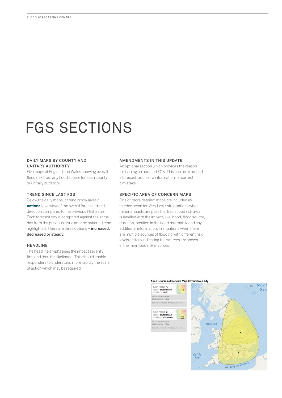## FGS SECTIONS

#### DAILY MAPS BY COUNTY AND UNITARY AUTHORITY

Five maps of England and Wales showing overall flood risk from any flood source for each county or unitary authority.

#### TREND SINCE LAST FGS

Below the daily maps, a trend arrow gives a national overview of the overall forecast trend direction compared to the previous FGS issue. Each forecast day is compared against the same day from the previous issue and the national trend highlighted. There are three options - increased, decreased or steady.

#### HEADLINE

The headline emphasises the impact severity first and then the likelihood. This should enable responders to understand more rapidly the scale of action which may be required.

#### AMENDMENTS IN THIS UPDATE

An optional section which provides the reason for issuing an updated FGS. This can be to amend a forecast, add extra information, or correct a mistake.

#### SPECIFIC AREA OF CONCERN MAPS

One or more detailed maps are included as needed, even for Very Low risk situations when minor impacts are possible. Each flood risk area is labelled with the impact, likelihood, flood source, duration, position in the flood risk matrix and any additional information. In situations when there are multiple sources of flooding with different risk levels, letters indicating the sources are shown in the mini flood risk matrices.

#### Specific Areas of Concern Map 1: Thursday 6 July

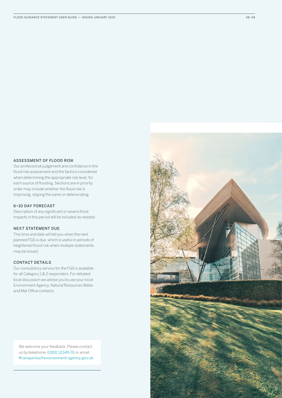#### ASSESSMENT OF FLOOD RISK

Our professional judgement and confidence in the flood risk assessment and the factors considered when determining the appropriate risk level, for each source of flooding. Sections are in priority order may include whether the flood risk is improving, staying the same or deteriorating.

#### 6–10 DAY FORECAST

Description of any significant or severe flood impacts in this period will be included as needed.

#### NEXT STATEMENT DUE

This time and date will tell you when the next planned FGS is due, which is useful in periods of heightened flood risk when multiple statements may be issued.

#### CONTACT DETAILS

Our consultancy service for the FGS is available for all Category 1 & 2 responders. For detailed local discussion we advise you to use your local Environment Agency, Natural Resources Wales and Met Office contacts.

We welcome your feedback. Please contact us by telephone: 0300 12345 01 or email: [ffcenquiries@environment-agency.gov.uk](mailto:ffcenquiries@environment-agency.gov.uk)